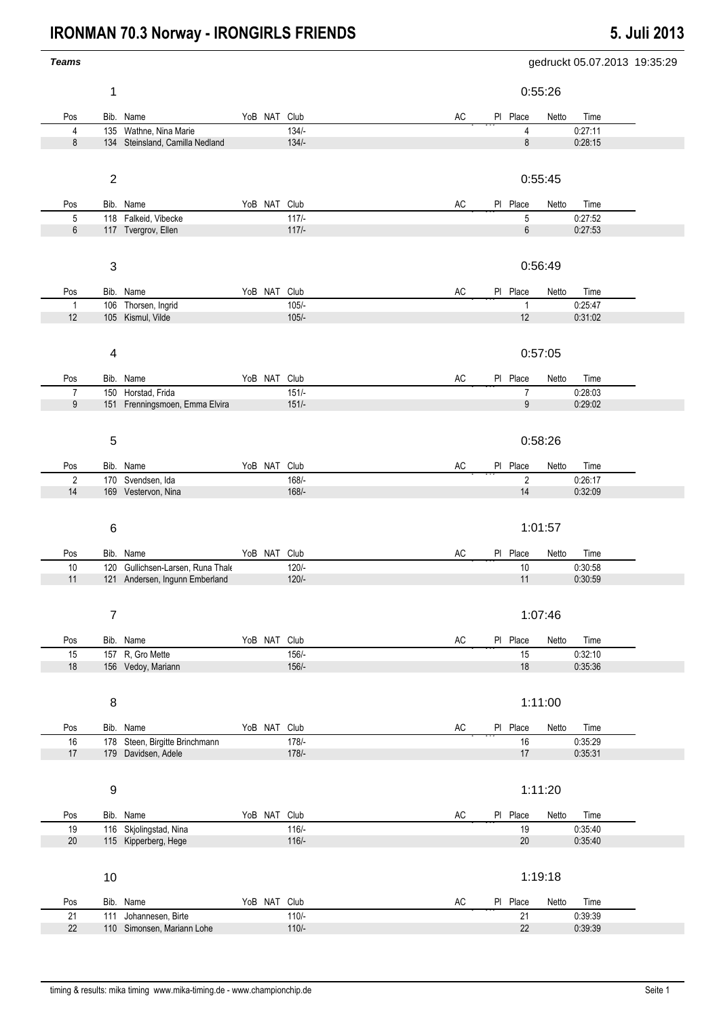## **IRONMAN 70.3 Norway - IRONGIRLS FRIENDS** 5. Juli 2013

| <b>Teams</b>        |                           |                                                           |              |                    | gedruckt 05.07.2013 19:35:29               |
|---------------------|---------------------------|-----------------------------------------------------------|--------------|--------------------|--------------------------------------------|
|                     | 1                         |                                                           |              |                    | 0:55:26                                    |
| Pos                 |                           | Bib. Name                                                 | YoB NAT Club |                    | AC<br>PI Place<br>Netto<br>Time            |
| $\overline{4}$<br>8 |                           | 135 Wathne, Nina Marie<br>134 Steinsland, Camilla Nedland |              | $134/-$<br>$134/-$ | 0:27:11<br>4<br>8<br>0:28:15               |
|                     |                           |                                                           |              |                    |                                            |
|                     | $\boldsymbol{2}$          |                                                           |              |                    | 0:55:45                                    |
| Pos                 |                           | Bib. Name                                                 | YoB NAT Club |                    | AC<br>PI Place<br>Netto<br>Time            |
| $\mathbf 5$         |                           | 118 Falkeid, Vibecke                                      |              | $117/-$            | 5<br>0:27:52                               |
| 6                   |                           | 117 Tvergrov, Ellen                                       |              | $117/-$            | $\,6\,$<br>0:27:53                         |
|                     | $\ensuremath{\mathsf{3}}$ |                                                           |              |                    | 0:56:49                                    |
| Pos                 |                           | Bib. Name                                                 | YoB NAT Club |                    | AC<br>PI Place<br>Netto<br>Time            |
| $\mathbf{1}$        |                           | 106 Thorsen, Ingrid                                       |              | $105/-$            | $\mathbf{1}$<br>0:25:47                    |
| 12                  |                           | 105 Kismul, Vilde                                         |              | $105/-$            | $12$<br>0:31:02                            |
|                     | $\overline{\mathbf{4}}$   |                                                           |              |                    | 0:57:05                                    |
| Pos                 |                           | Bib. Name                                                 | YoB NAT Club |                    | $\mathsf{AC}$<br>PI Place<br>Time<br>Netto |
| $\overline{7}$      |                           | 150 Horstad, Frida                                        |              | $151/-$            | $\overline{7}$<br>0:28:03                  |
| 9                   |                           | 151 Frenningsmoen, Emma Elvira                            |              | $151/-$            | 9<br>0:29:02                               |
|                     | $\sqrt{5}$                |                                                           |              |                    | 0:58:26                                    |
|                     |                           |                                                           |              |                    |                                            |
| Pos                 |                           | Bib. Name                                                 | YoB NAT Club |                    | AC<br>PI Place<br>Netto<br>Time            |
| $\sqrt{2}$          |                           | 170 Svendsen, Ida                                         |              | $168/$ -           | $\overline{2}$<br>0:26:17                  |
| 14                  |                           | 169 Vestervon, Nina                                       |              | $168/-$            | 14<br>0:32:09                              |
|                     | $\,6$                     |                                                           |              |                    | 1:01:57                                    |
| Pos                 |                           | Bib. Name                                                 | YoB NAT Club |                    | AC<br>PI Place<br>Netto<br>Time            |
| $10$                |                           | 120 Gullichsen-Larsen, Runa Thale                         |              | $120/-$            | $10$<br>0:30:58                            |
| 11                  |                           | 121 Andersen, Ingunn Emberland                            |              | $120/-$            | 0:30:59<br>11                              |
|                     | $\overline{7}$            |                                                           |              |                    | 1:07:46                                    |
| Pos                 |                           | Bib. Name                                                 | YoB NAT Club |                    | $\mathsf{AC}$<br>PI Place<br>Netto<br>Time |
| 15                  |                           | 157 R, Gro Mette                                          |              | $156/-$            | 0:32:10<br>15                              |
| $18$                |                           | 156 Vedoy, Mariann                                        |              | $156/-$            | 18<br>0:35:36                              |
|                     | 8                         |                                                           |              |                    | 1:11:00                                    |
| Pos                 |                           | Bib. Name                                                 | YoB NAT Club |                    | PI Place<br>AC<br>Netto<br>Time            |
| $16$                |                           | 178 Steen, Birgitte Brinchmann                            |              | $178/-$            | $16\,$<br>0:35:29                          |
| 17                  |                           | 179 Davidsen, Adele                                       |              | $178/-$            | $17$<br>0:35:31                            |
|                     | $\boldsymbol{9}$          |                                                           |              |                    | 1:11:20                                    |
| Pos                 |                           | Bib. Name                                                 | YoB NAT Club |                    | AC<br>PI Place<br>Netto<br>Time            |
| 19                  |                           | 116 Skjolingstad, Nina                                    |              | $116/-$            | 19<br>0:35:40                              |
| $20\,$              |                           | 115 Kipperberg, Hege                                      |              | $116/-$            | 0:35:40<br>20                              |
|                     | 10                        |                                                           |              |                    | 1:19:18                                    |
| Pos                 |                           | Bib. Name                                                 | YoB NAT Club |                    | AC<br>PI Place<br>Netto<br>Time            |
| 21                  | 111                       | Johannesen, Birte                                         |              | $110/-$            | 0:39:39<br>21                              |
| 22                  |                           | 110 Simonsen, Mariann Lohe                                |              | $110/-$            | 0:39:39<br>22                              |